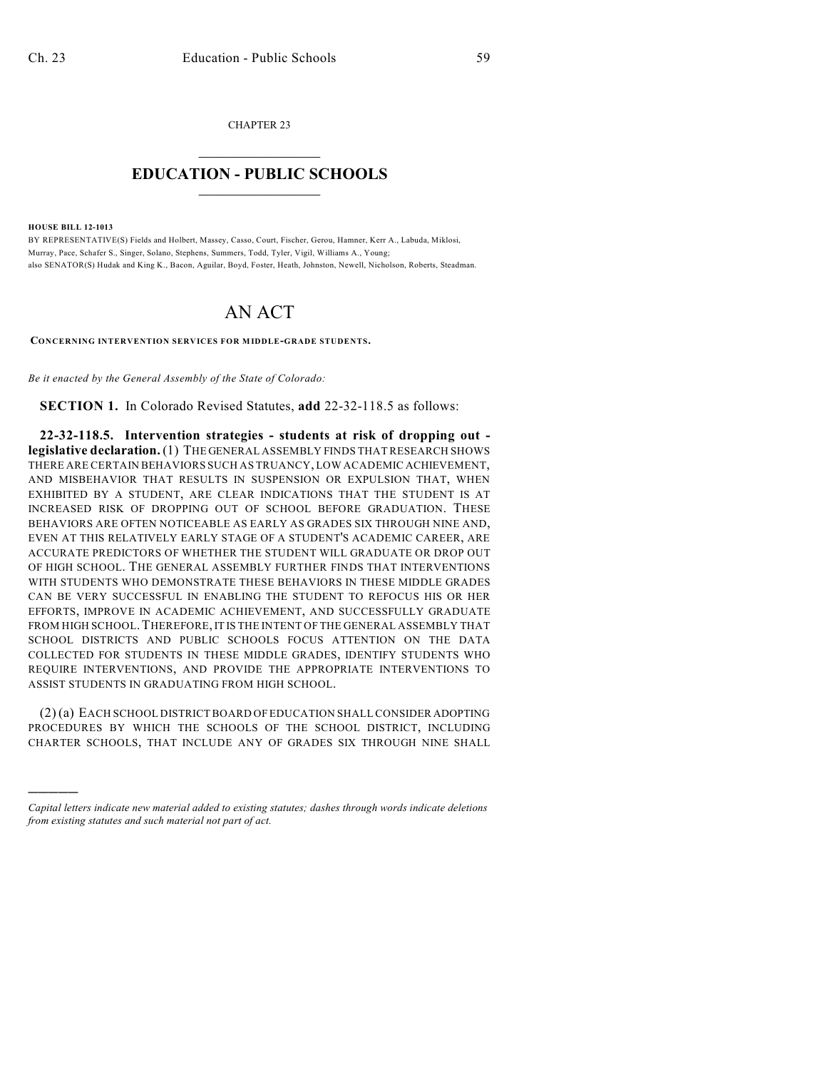CHAPTER 23  $\mathcal{L}_\text{max}$  . The set of the set of the set of the set of the set of the set of the set of the set of the set of the set of the set of the set of the set of the set of the set of the set of the set of the set of the set

## **EDUCATION - PUBLIC SCHOOLS**  $\_$   $\_$   $\_$   $\_$   $\_$   $\_$   $\_$   $\_$   $\_$

**HOUSE BILL 12-1013**

)))))

BY REPRESENTATIVE(S) Fields and Holbert, Massey, Casso, Court, Fischer, Gerou, Hamner, Kerr A., Labuda, Miklosi, Murray, Pace, Schafer S., Singer, Solano, Stephens, Summers, Todd, Tyler, Vigil, Williams A., Young; also SENATOR(S) Hudak and King K., Bacon, Aguilar, Boyd, Foster, Heath, Johnston, Newell, Nicholson, Roberts, Steadman.

## AN ACT

**CONCERNING INTERVENTION SERVICES FOR MIDDLE-GRADE STUDENTS.**

*Be it enacted by the General Assembly of the State of Colorado:*

**SECTION 1.** In Colorado Revised Statutes, **add** 22-32-118.5 as follows:

**22-32-118.5. Intervention strategies - students at risk of dropping out legislative declaration.** (1) THE GENERAL ASSEMBLY FINDS THAT RESEARCH SHOWS THERE ARE CERTAIN BEHAVIORS SUCH AS TRUANCY, LOW ACADEMIC ACHIEVEMENT, AND MISBEHAVIOR THAT RESULTS IN SUSPENSION OR EXPULSION THAT, WHEN EXHIBITED BY A STUDENT, ARE CLEAR INDICATIONS THAT THE STUDENT IS AT INCREASED RISK OF DROPPING OUT OF SCHOOL BEFORE GRADUATION. THESE BEHAVIORS ARE OFTEN NOTICEABLE AS EARLY AS GRADES SIX THROUGH NINE AND, EVEN AT THIS RELATIVELY EARLY STAGE OF A STUDENT'S ACADEMIC CAREER, ARE ACCURATE PREDICTORS OF WHETHER THE STUDENT WILL GRADUATE OR DROP OUT OF HIGH SCHOOL. THE GENERAL ASSEMBLY FURTHER FINDS THAT INTERVENTIONS WITH STUDENTS WHO DEMONSTRATE THESE BEHAVIORS IN THESE MIDDLE GRADES CAN BE VERY SUCCESSFUL IN ENABLING THE STUDENT TO REFOCUS HIS OR HER EFFORTS, IMPROVE IN ACADEMIC ACHIEVEMENT, AND SUCCESSFULLY GRADUATE FROM HIGH SCHOOL.THEREFORE,IT IS THE INTENT OF THE GENERAL ASSEMBLY THAT SCHOOL DISTRICTS AND PUBLIC SCHOOLS FOCUS ATTENTION ON THE DATA COLLECTED FOR STUDENTS IN THESE MIDDLE GRADES, IDENTIFY STUDENTS WHO REQUIRE INTERVENTIONS, AND PROVIDE THE APPROPRIATE INTERVENTIONS TO ASSIST STUDENTS IN GRADUATING FROM HIGH SCHOOL.

(2) (a) EACH SCHOOL DISTRICT BOARD OF EDUCATION SHALL CONSIDER ADOPTING PROCEDURES BY WHICH THE SCHOOLS OF THE SCHOOL DISTRICT, INCLUDING CHARTER SCHOOLS, THAT INCLUDE ANY OF GRADES SIX THROUGH NINE SHALL

*Capital letters indicate new material added to existing statutes; dashes through words indicate deletions from existing statutes and such material not part of act.*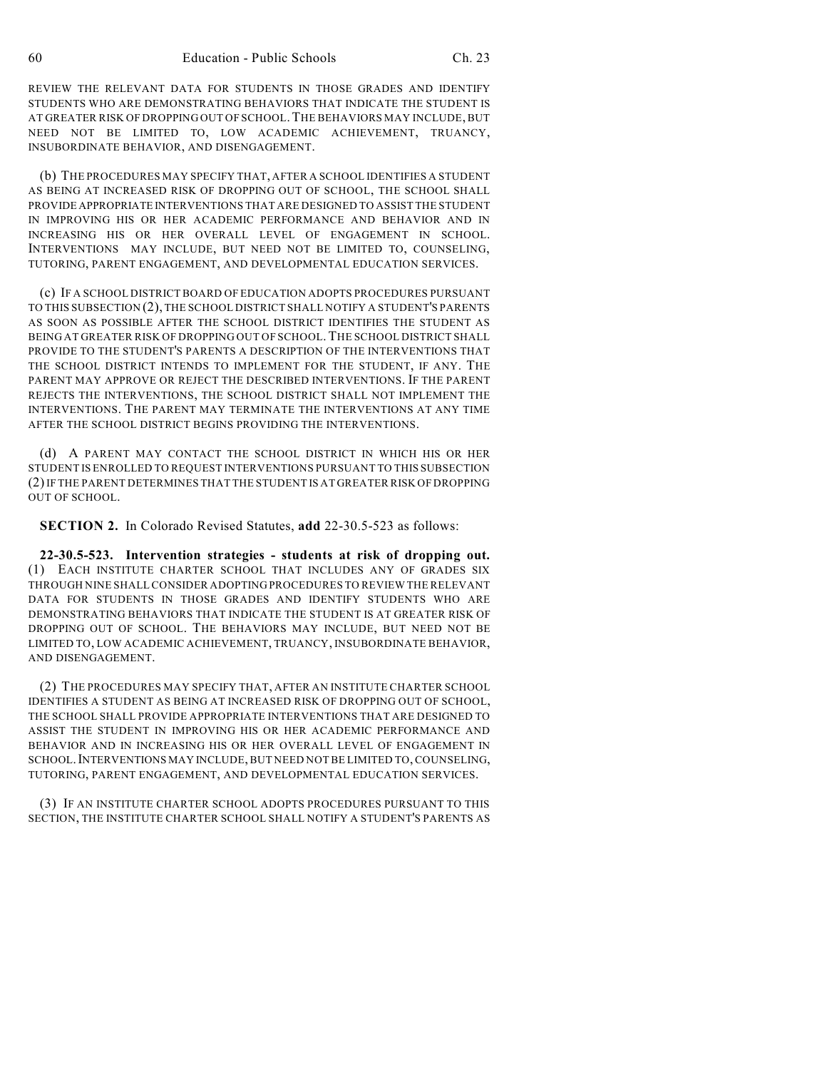REVIEW THE RELEVANT DATA FOR STUDENTS IN THOSE GRADES AND IDENTIFY STUDENTS WHO ARE DEMONSTRATING BEHAVIORS THAT INDICATE THE STUDENT IS AT GREATER RISK OF DROPPING OUT OF SCHOOL.THE BEHAVIORS MAY INCLUDE, BUT NEED NOT BE LIMITED TO, LOW ACADEMIC ACHIEVEMENT, TRUANCY, INSUBORDINATE BEHAVIOR, AND DISENGAGEMENT.

(b) THE PROCEDURES MAY SPECIFY THAT, AFTER A SCHOOL IDENTIFIES A STUDENT AS BEING AT INCREASED RISK OF DROPPING OUT OF SCHOOL, THE SCHOOL SHALL PROVIDE APPROPRIATE INTERVENTIONS THAT ARE DESIGNED TO ASSIST THE STUDENT IN IMPROVING HIS OR HER ACADEMIC PERFORMANCE AND BEHAVIOR AND IN INCREASING HIS OR HER OVERALL LEVEL OF ENGAGEMENT IN SCHOOL. INTERVENTIONS MAY INCLUDE, BUT NEED NOT BE LIMITED TO, COUNSELING, TUTORING, PARENT ENGAGEMENT, AND DEVELOPMENTAL EDUCATION SERVICES.

(c) IF A SCHOOL DISTRICT BOARD OF EDUCATION ADOPTS PROCEDURES PURSUANT TO THIS SUBSECTION (2), THE SCHOOL DISTRICT SHALL NOTIFY A STUDENT'S PARENTS AS SOON AS POSSIBLE AFTER THE SCHOOL DISTRICT IDENTIFIES THE STUDENT AS BEING AT GREATER RISK OF DROPPING OUT OF SCHOOL.THE SCHOOL DISTRICT SHALL PROVIDE TO THE STUDENT'S PARENTS A DESCRIPTION OF THE INTERVENTIONS THAT THE SCHOOL DISTRICT INTENDS TO IMPLEMENT FOR THE STUDENT, IF ANY. THE PARENT MAY APPROVE OR REJECT THE DESCRIBED INTERVENTIONS. IF THE PARENT REJECTS THE INTERVENTIONS, THE SCHOOL DISTRICT SHALL NOT IMPLEMENT THE INTERVENTIONS. THE PARENT MAY TERMINATE THE INTERVENTIONS AT ANY TIME AFTER THE SCHOOL DISTRICT BEGINS PROVIDING THE INTERVENTIONS.

(d) A PARENT MAY CONTACT THE SCHOOL DISTRICT IN WHICH HIS OR HER STUDENT IS ENROLLED TO REQUEST INTERVENTIONS PURSUANT TO THIS SUBSECTION (2)IF THE PARENT DETERMINES THAT THE STUDENT IS AT GREATER RISK OF DROPPING OUT OF SCHOOL.

**SECTION 2.** In Colorado Revised Statutes, **add** 22-30.5-523 as follows:

**22-30.5-523. Intervention strategies - students at risk of dropping out.** (1) EACH INSTITUTE CHARTER SCHOOL THAT INCLUDES ANY OF GRADES SIX THROUGH NINE SHALL CONSIDER ADOPTING PROCEDURES TO REVIEW THE RELEVANT DATA FOR STUDENTS IN THOSE GRADES AND IDENTIFY STUDENTS WHO ARE DEMONSTRATING BEHAVIORS THAT INDICATE THE STUDENT IS AT GREATER RISK OF DROPPING OUT OF SCHOOL. THE BEHAVIORS MAY INCLUDE, BUT NEED NOT BE LIMITED TO, LOW ACADEMIC ACHIEVEMENT, TRUANCY, INSUBORDINATE BEHAVIOR, AND DISENGAGEMENT.

(2) THE PROCEDURES MAY SPECIFY THAT, AFTER AN INSTITUTE CHARTER SCHOOL IDENTIFIES A STUDENT AS BEING AT INCREASED RISK OF DROPPING OUT OF SCHOOL, THE SCHOOL SHALL PROVIDE APPROPRIATE INTERVENTIONS THAT ARE DESIGNED TO ASSIST THE STUDENT IN IMPROVING HIS OR HER ACADEMIC PERFORMANCE AND BEHAVIOR AND IN INCREASING HIS OR HER OVERALL LEVEL OF ENGAGEMENT IN SCHOOL.INTERVENTIONS MAY INCLUDE, BUT NEED NOT BE LIMITED TO, COUNSELING, TUTORING, PARENT ENGAGEMENT, AND DEVELOPMENTAL EDUCATION SERVICES.

(3) IF AN INSTITUTE CHARTER SCHOOL ADOPTS PROCEDURES PURSUANT TO THIS SECTION, THE INSTITUTE CHARTER SCHOOL SHALL NOTIFY A STUDENT'S PARENTS AS